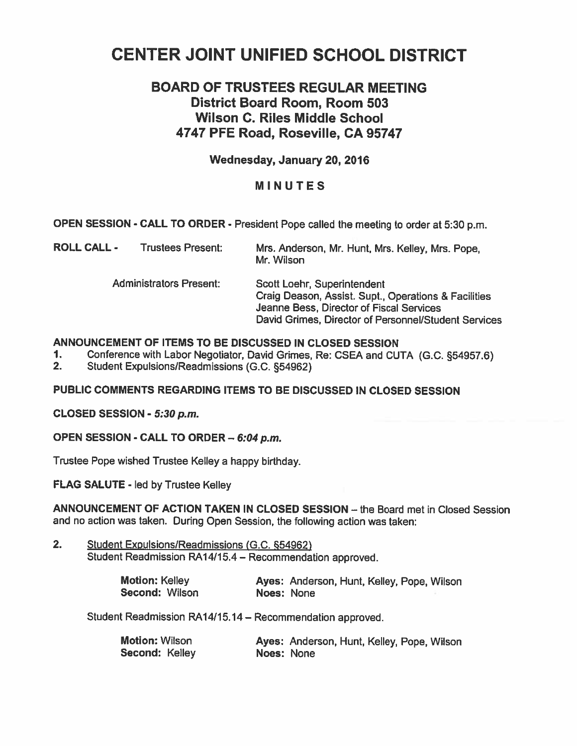# **CENTER JOINT UNIFIED SCHOOL DISTRICT**

# **BOARD OF TRUSTEES REGULAR MEETING District Board Room, Room 503 Wilson C. Riles Middle School 4747 PFE Road, Roseville, CA 95747**

# **Wednesday, January 20,2016**

# **MINUTES**

**OPEN SESSION** - **CALL TO ORDER** - President Pope called the meeting to order at **5:30 p.m.** 

| <b>ROLL CALL -</b> | <b>Trustees Present:</b>       | Mrs. Anderson, Mr. Hunt, Mrs. Kelley, Mrs. Pope,<br>Mr. Wilson                                                                                                                          |
|--------------------|--------------------------------|-----------------------------------------------------------------------------------------------------------------------------------------------------------------------------------------|
|                    | <b>Administrators Present:</b> | Scott Loehr, Superintendent<br>Craig Deason, Assist. Supt., Operations & Facilities<br>Jeanne Bess, Director of Fiscal Services<br>David Grimes, Director of Personnel/Student Services |

# **ANNOUNCEMENT OF ITEMS TO BE DISCUSSED IN CLOSED SESSION**

- **1.** Conference with Labor Negotiator, David Grimes, Re: CSEA and CUTA (G.C. §54957.6)<br>2. Student Expulsions/Readmissions (G.C. §54962)
- Student Expulsions/Readmissions (G.C. §54962)

# **PUBLIC COMMENTS REGARDING ITEMS TO BE DISCUSSED IN CLOSED SESSION**

**CLOSED SESSION** - **5:30 p.m.** 

**OPEN SESSION** - **CALL TO ORDER** - **6:04 p.m.** 

Trustee Pope wished Trustee Kelley a happy birthday.

**FLAG SALUTE** - led by Trustee Kelley

**ANNOUNCEMENT OF ACTION TAKEN IN CLOSED SESSION - the Board met in Closed Session** and no action was taken. During Open Session, the following action was taken:

2. Student Expulsions/Readmissions (G.C. §54962) Student Readmission RA14/15.4 - Recommendation approved.

| <b>Motion: Kelley</b> |            | Ayes: Anderson, Hunt, Kelley, Pope, Wilson |  |  |
|-----------------------|------------|--------------------------------------------|--|--|
| <b>Second: Wilson</b> | Noes: None |                                            |  |  |

Student Readmission **RA14115.14** - Recommendation approved.

| Motion: Wilson |            | Ayes: Anderson, Hunt, Kelley, Pope, Wilson |  |  |
|----------------|------------|--------------------------------------------|--|--|
| Second: Kelley | Noes: None |                                            |  |  |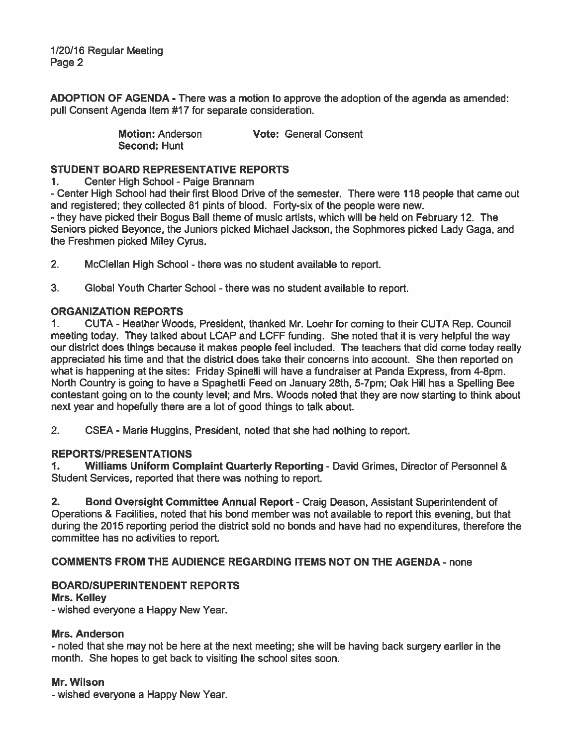1/20/16 Regular Meeting Page 2

ADOPTION OF AGENDA - There was a motion to approve the adoption of the agenda as amended: pull Consent Agenda Item #17 for separate consideration.

> Motion: Anderson Vote: General Consent Second: Hunt

# STUDENT BOARD REPRESENTATIVE REPORTS

1. Center High School - Paige Brannam

- Center High School had their first Blood Drive of the semester. There were 118 people that came out and registered; they collected 81 pints of blood. Forty-six of the people were new. - they have picked their Bogus Ball theme of music artists, which will be held on February 12. The

Seniors picked Beyonce, the Juniors picked Michael Jackson, the Sophmores picked Lady Gaga, and the Freshmen picked Miley Cyrus.

2. McClellan High School - there was no student available to report.

**3.** Global Youth Charter School - there was no student available to report.

#### ORGANIZATION REPORTS

1. CUTA - Heather Woods, President, thanked Mr. Loehr for coming to their CUTA Rep. Council meeting today. They talked about LCAP and LCFF funding. She noted that it is very helpful the way our district does things because it makes people feel included. The teachers that did come today really appreciated his time and that the district does take their concerns into account. She then reported on what is happening at the sites: Friday Spinelli will have a fundraiser at Panda Express, from 4-8pm. North Country is going to have a Spaghetti Feed on January 28th, 5-7pm; Oak Hill has a Spelling Bee contestant going on to the county level; and Mrs. Woods noted that they are now starting to think about next year and hopefully there are a lot of good things to talk about.

**2.** CSEA - Marie Huggins, President, noted that she had nothing to report.

# REPORTSIPRESENTATIONS

**I.** Williams Uniform Complaint Quarterly Reporting - David Grimes, Director of Personnel & Student Services, reported that there was nothing to report.

**2.** Bond Oversight Committee Annual Report - Craig Deason, Assistant Superintendent of Operations & Facilities, noted that his bond member was not available to report this evening, but that during the 2015 reporting period the district sold no bonds and have had no expenditures, therefore the committee has no activities to report.

# COMMENTS FROM THE AUDIENCE REGARDING ITEMS NOT ON THE AGENDA - none

# BOARDISUPERINTENDENT REPORTS

#### Mrs. Kelley

- wished everyone a Happy New Year.

#### Mrs. Anderson

- noted that she may not be here at the next meeting; she will be having back surgery earlier in the month. She hopes to get back to visiting the school sites soon.

#### Mr. Wilson

- wished everyone a Happy New Year.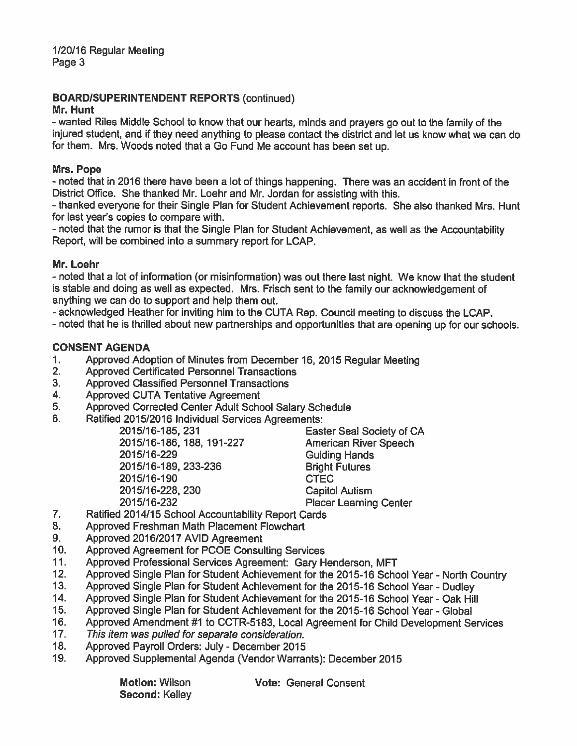# BOARDISUPERINTENDENT REPORTS (continued)

# Mr. Hunt

- wanted Riles Middle School to know that our hearts, minds and prayers go out to the family of the injured student, and if they need anything to please contact the district and let us know what we can do for them. Mrs. Woods noted that a Go Fund Me account has been set up.

# **Mrs. Pope**

- noted that in 2016 there have been a lot of things happening. There was an accident in front of the District Office. She thanked Mr. Loehr and Mr. Jordan for assisting with this.

- thanked everyone for their Single Plan for Student Achievement reports. She also thanked Mrs. Hunt for last year's copies to compare with.

- noted that the rumor is that the Single Plan for Student Achievement, as well as the Accountability Report, will be combined into a summary report for LCAP.

# **Mr. Loehr**

- noted that a tot of information (or misinformation) was out there last night. We know that the student is stable and doing as well as expected. Mrs. Frisch sent to the family our acknowledgement of anything we can do to support and help them out.

- acknowledged Heather for inviting him to the CUTA Rep. Council meeting to discuss the LCAP.

- noted that he is thrilled about new partnerships and opportunities that are opening up for our schools.

# CONSENT AGENDA

- 1. Approved Adoption of Minutes from December 16, 2015 Regular Meeting<br>2. Approved Certificated Personnel Transactions
- 2. Approved Certificated Personnel Transactions<br>3. Approved Classified Personnel Transactions
- 3. Approved Classified Personnel Transactions<br>4. Approved CUTA Tentative Agreement
- 4. Approved CUTA Tentative Agreement<br>5. Approved Corrected Center Adult Scho
- 5. Approved Corrected Center Adult School Salary Schedule<br>6. Ratified 2015/2016 Individual Services Agreements:
- Ratified 2015/2016 Individual Services Agreements:<br>2015/16-185, 231 East

201 511 6-1 86, 188, 191-227 American River Speech 2015/16-229<br>
2015/16-189, 233-236<br>
2015/16-189, 233-236<br>
2015/16-189, 233-236 2015/16-189, 233-236 2015/16-190 CTEC 2015/16-228, 230 Capitol Autism<br>2015/16-232 Placer Learning

Easter Seal Society of CA Placer Learning Center

- 7. **Ratified 2014/15 School Accountability Report Cards**<br>8. **Approved Freshman Math Placement Flowchart**
- 8. Approved Freshman Math Placement Flowchart<br>9. Approved 2016/2017 AVID Agreement
- **9. Approved 2016/2017 AVID Agreement 10. Approved Agreement for PCOE Consult**
- 10. Approved Agreement for PCOE Consulting Services<br>11. Approved Professional Services Agreement: Gary H
- 11. Approved Professional Services Agreement: Gary Henderson, MFT<br>12. Approved Single Plan for Student Achievement for the 2015-16 Scho
- 12. Approved Single Plan for Student Achievement for the 2015-16 School Year North Country 13. Approved Single Plan for Student Achievement for the 2015-16 School Year Dudley
- 13. Approved Single Plan for Student Achievement for the 2015-16 School Year Dudley
- 14. Approved Single Plan for Student Achievement for the 2015-16 School Year Oak Hill<br>15. Approved Single Plan for Student Achievement for the 2015-16 School Year Global
- 15. Approved Single Plan for Student Achievement for the 2015-16 School Year Global
- 16. Approved Amendment #1 to CCTR-5183, Local Agreement for Child Development Services<br>17. This item was pulled for separate consideration
- 17. This *item was pulled for separate consideration.*<br>18. Approved Pavroll Orders: July December 2015
- 18. Approved Payroll Orders: July December 2015<br>19. Approved Supplemental Agenda (Vendor Warrar
- Approved Supplemental Agenda (Vendor Warrants): December 2015

Second: Kelley

Motion: Wilson **Vote:** General Consent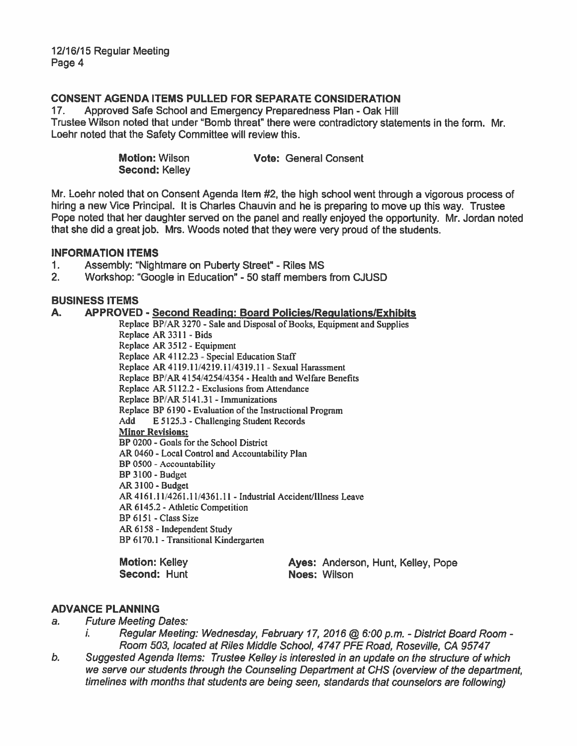# **CONSENT AGENDA ITEMS PULLED FOR SEPARATE CONSIDERATION**

**17.** Approved Safe School and Emergency Preparedness Plan - Oak Hill Trustee Wilson noted that under "8omb threat" there were contradictory statements in the form. Mr. Loehr noted that the Safety Committee will review this.

| Motion: Wilson | <b>Vote: General Consent</b> |
|----------------|------------------------------|
| Second: Kelley |                              |

Mr. Loehr noted that on Consent Agenda Item **#2,** the high school went through a vigorous process of hiring a new Vice Principal. It is Charles Chauvin and he is preparing to move up this way. Trustee Pope noted that her daughter served on the panel and really enjoyed the opportunity. Mr. Jordan noted that she did a great job. Mrs. Woods noted that they were very proud of the students.

#### **INFORMATION ITEMS**

- 1. Assembly: "Nightmare on Puberty Street" Riles MS<br>2. Workshop: "Google in Education" 50 staff members
- **2.** Workshop: "Google in Education" 50 staff members from CJUSD

# **BUSINESS ITEMS**

#### **A. APPROVED** - **Second Readincl: Board PolicieslRenulationslExhibits**

Replace BP'AR 3270 - Sale and Disposal of Books, Equipment and Supplies Replace **AR** 33 1 1 - Bids Replace **AR** 35 12 - Equipment Replace **AR** 41 12.23 - Special Education Staff Replace **AR** 41 19.1 1N2 **19. i 1!43** 19.1 1 - Sexual Harassment Replace BP/AR 4154/4254/4354 - Health and Welfare Benefits Replace **AR** 5 1 12.2 - Exclusions from Attendance Replace BP/AR 5141.31 - Immunizations Replace BP 6190 - Evaluation of the Instructional Program Add E 5125.3 - Challenging Student Records Minor Revisions: BP 0200 - Goals for the School District **AR** 0460 - Local Control and Accountability Plan BP 0500 - Accountability BP 3 100 - Budget **AR** 3 100 - Budget AR 4161.11/4261.11/4361.11 - Industrial Accident/Illness Leave **AR** 6145.2 - Athletic Compelition BP 6 15 1 - **Class** Size **AR** 6 158 - Independent **Study**  BP 6170.1 - Transitional Kindergarten

| Motion: Kelley | Ayes: Anderson, Hunt, Kelley, Pope |
|----------------|------------------------------------|
| Second: Hunt   | Noes: Wilson                       |

#### **ADVANCE PLANNING**

- **a. Future Meeting Dates:** 
	- **i.** Regular Meeting: Wednesday, February 17, 2016 @ 6:00 p.m. District Board Room -**Room 503, located at Riles Middle School, 4747 PFE Road, Roseville, CA 95747**
- **6. Suggested Agenda Items: Trustee Kelley is interested in an update on the structure of which we serve our students through the Counseling Department at CHS (overview of the department, timelines with months that students are being seen, standards that counselors are following)**